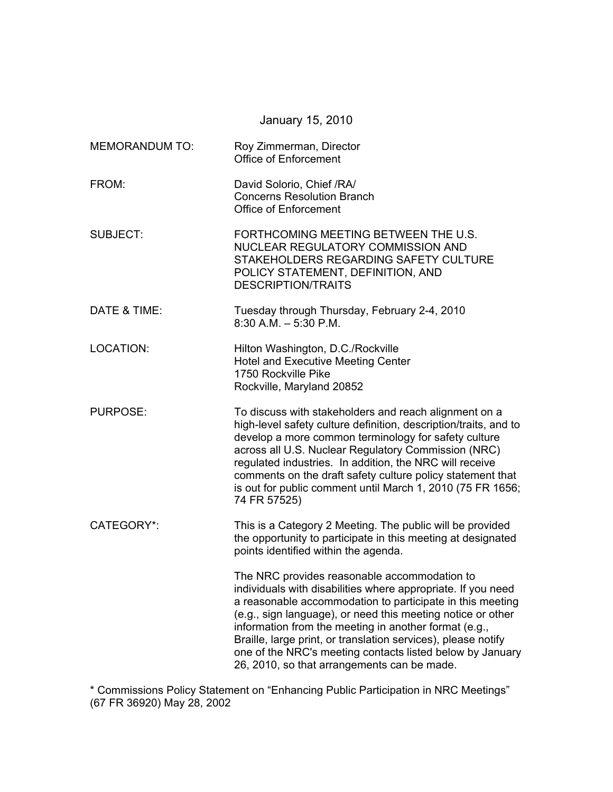|                       | January 15, 2010                                                                                                                                                                                                                                                                                                                                                                                                                                                               |  |  |
|-----------------------|--------------------------------------------------------------------------------------------------------------------------------------------------------------------------------------------------------------------------------------------------------------------------------------------------------------------------------------------------------------------------------------------------------------------------------------------------------------------------------|--|--|
| <b>MEMORANDUM TO:</b> | Roy Zimmerman, Director<br><b>Office of Enforcement</b>                                                                                                                                                                                                                                                                                                                                                                                                                        |  |  |
| FROM:                 | David Solorio, Chief /RA/<br><b>Concerns Resolution Branch</b><br>Office of Enforcement                                                                                                                                                                                                                                                                                                                                                                                        |  |  |
| <b>SUBJECT:</b>       | FORTHCOMING MEETING BETWEEN THE U.S.<br>NUCLEAR REGULATORY COMMISSION AND<br>STAKEHOLDERS REGARDING SAFETY CULTURE<br>POLICY STATEMENT, DEFINITION, AND<br><b>DESCRIPTION/TRAITS</b>                                                                                                                                                                                                                                                                                           |  |  |
| DATE & TIME:          | Tuesday through Thursday, February 2-4, 2010<br>$8:30$ A.M. $-5:30$ P.M.                                                                                                                                                                                                                                                                                                                                                                                                       |  |  |
| LOCATION:             | Hilton Washington, D.C./Rockville<br><b>Hotel and Executive Meeting Center</b><br>1750 Rockville Pike<br>Rockville, Maryland 20852                                                                                                                                                                                                                                                                                                                                             |  |  |
| <b>PURPOSE:</b>       | To discuss with stakeholders and reach alignment on a<br>high-level safety culture definition, description/traits, and to<br>develop a more common terminology for safety culture<br>across all U.S. Nuclear Regulatory Commission (NRC)<br>regulated industries. In addition, the NRC will receive<br>comments on the draft safety culture policy statement that<br>is out for public comment until March 1, 2010 (75 FR 1656;<br>74 FR 57525)                                |  |  |
| CATEGORY*:            | This is a Category 2 Meeting. The public will be provided<br>the opportunity to participate in this meeting at designated<br>points identified within the agenda.                                                                                                                                                                                                                                                                                                              |  |  |
|                       | The NRC provides reasonable accommodation to<br>individuals with disabilities where appropriate. If you need<br>a reasonable accommodation to participate in this meeting<br>(e.g., sign language), or need this meeting notice or other<br>information from the meeting in another format (e.g.,<br>Braille, large print, or translation services), please notify<br>one of the NRC's meeting contacts listed below by January<br>26, 2010, so that arrangements can be made. |  |  |

\* Commissions Policy Statement on "Enhancing Public Participation in NRC Meetings" (67 FR 36920) May 28, 2002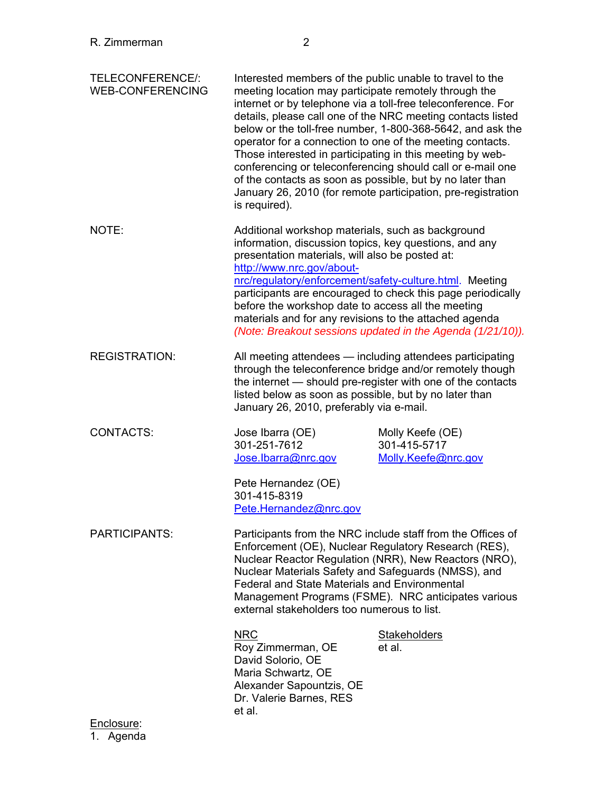| TELECONFERENCE/:<br>WEB-CONFERENCING | Interested members of the public unable to travel to the<br>meeting location may participate remotely through the<br>internet or by telephone via a toll-free teleconference. For<br>details, please call one of the NRC meeting contacts listed<br>below or the toll-free number, 1-800-368-5642, and ask the<br>operator for a connection to one of the meeting contacts.<br>Those interested in participating in this meeting by web-<br>conferencing or teleconferencing should call or e-mail one<br>of the contacts as soon as possible, but by no later than<br>January 26, 2010 (for remote participation, pre-registration<br>is required). |                                                         |  |
|--------------------------------------|------------------------------------------------------------------------------------------------------------------------------------------------------------------------------------------------------------------------------------------------------------------------------------------------------------------------------------------------------------------------------------------------------------------------------------------------------------------------------------------------------------------------------------------------------------------------------------------------------------------------------------------------------|---------------------------------------------------------|--|
| NOTE:                                | Additional workshop materials, such as background<br>information, discussion topics, key questions, and any<br>presentation materials, will also be posted at:<br>http://www.nrc.gov/about-<br>nrc/regulatory/enforcement/safety-culture.html. Meeting<br>participants are encouraged to check this page periodically<br>before the workshop date to access all the meeting<br>materials and for any revisions to the attached agenda<br>(Note: Breakout sessions updated in the Agenda (1/21/10)).                                                                                                                                                  |                                                         |  |
| <b>REGISTRATION:</b>                 | All meeting attendees — including attendees participating<br>through the teleconference bridge and/or remotely though<br>the internet — should pre-register with one of the contacts<br>listed below as soon as possible, but by no later than<br>January 26, 2010, preferably via e-mail.                                                                                                                                                                                                                                                                                                                                                           |                                                         |  |
| CONTACTS:                            | Jose Ibarra (OE)<br>301-251-7612<br>Jose.lbarra@nrc.gov<br>Pete Hernandez (OE)<br>301-415-8319<br>Pete.Hernandez@nrc.gov                                                                                                                                                                                                                                                                                                                                                                                                                                                                                                                             | Molly Keefe (OE)<br>301-415-5717<br>Molly.Keefe@nrc.gov |  |
| PARTICIPANTS:                        | Participants from the NRC include staff from the Offices of<br>Enforcement (OE), Nuclear Regulatory Research (RES),<br>Nuclear Reactor Regulation (NRR), New Reactors (NRO),<br>Nuclear Materials Safety and Safeguards (NMSS), and<br><b>Federal and State Materials and Environmental</b><br>Management Programs (FSME). NRC anticipates various<br>external stakeholders too numerous to list.                                                                                                                                                                                                                                                    |                                                         |  |
| <u>Enclosure:</u>                    | <b>NRC</b><br>Roy Zimmerman, OE<br>David Solorio, OE<br>Maria Schwartz, OE<br>Alexander Sapountzis, OE<br>Dr. Valerie Barnes, RES<br>et al.                                                                                                                                                                                                                                                                                                                                                                                                                                                                                                          | <b>Stakeholders</b><br>et al.                           |  |
|                                      |                                                                                                                                                                                                                                                                                                                                                                                                                                                                                                                                                                                                                                                      |                                                         |  |

1. Agenda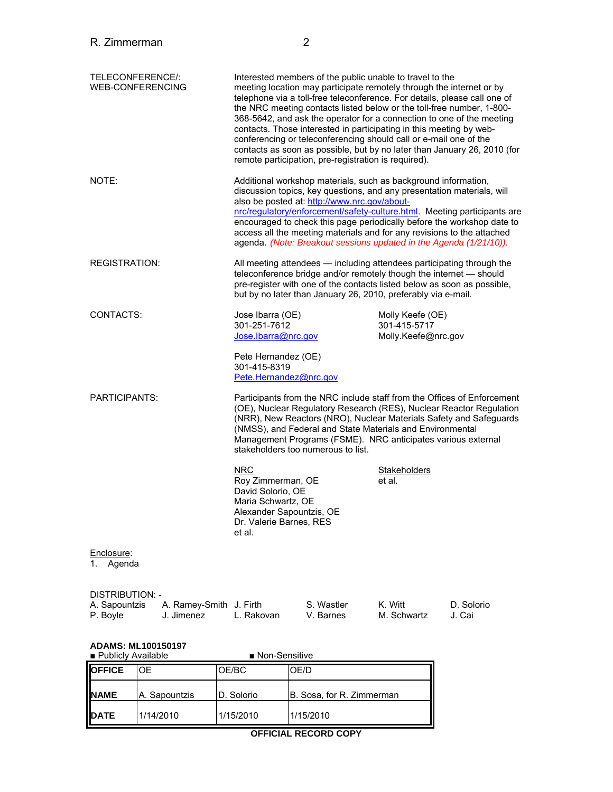| R. Zimmerman                                                         |                                       |                                                                                                                                             | 2                                                                                                                                                                                                                                                                                                                                        |                                                         |                                                                                                                                                                                                                                                                                                         |
|----------------------------------------------------------------------|---------------------------------------|---------------------------------------------------------------------------------------------------------------------------------------------|------------------------------------------------------------------------------------------------------------------------------------------------------------------------------------------------------------------------------------------------------------------------------------------------------------------------------------------|---------------------------------------------------------|---------------------------------------------------------------------------------------------------------------------------------------------------------------------------------------------------------------------------------------------------------------------------------------------------------|
| TELECONFERENCE/:                                                     | <b>WEB-CONFERENCING</b>               |                                                                                                                                             | Interested members of the public unable to travel to the<br>meeting location may participate remotely through the internet or by<br>contacts. Those interested in participating in this meeting by web-<br>conferencing or teleconferencing should call or e-mail one of the<br>remote participation, pre-registration is required).     |                                                         | telephone via a toll-free teleconference. For details, please call one of<br>the NRC meeting contacts listed below or the toll-free number, 1-800-<br>368-5642, and ask the operator for a connection to one of the meeting<br>contacts as soon as possible, but by no later than January 26, 2010 (for |
| NOTE:                                                                |                                       |                                                                                                                                             | Additional workshop materials, such as background information,<br>discussion topics, key questions, and any presentation materials, will<br>also be posted at: http://www.nrc.gov/about-<br>access all the meeting materials and for any revisions to the attached<br>agenda. (Note: Breakout sessions updated in the Agenda (1/21/10)). |                                                         | nrc/regulatory/enforcement/safety-culture.html. Meeting participants are<br>encouraged to check this page periodically before the workshop date to                                                                                                                                                      |
| <b>REGISTRATION:</b>                                                 |                                       |                                                                                                                                             | teleconference bridge and/or remotely though the internet - should<br>but by no later than January 26, 2010, preferably via e-mail.                                                                                                                                                                                                      |                                                         | All meeting attendees - including attendees participating through the<br>pre-register with one of the contacts listed below as soon as possible,                                                                                                                                                        |
| CONTACTS:                                                            |                                       | Jose Ibarra (OE)<br>301-251-7612<br>Jose.Ibarra@nrc.gov                                                                                     |                                                                                                                                                                                                                                                                                                                                          | Molly Keefe (OE)<br>301-415-5717<br>Molly.Keefe@nrc.gov |                                                                                                                                                                                                                                                                                                         |
|                                                                      |                                       | Pete Hernandez (OE)<br>301-415-8319<br>Pete.Hernandez@nrc.gov                                                                               |                                                                                                                                                                                                                                                                                                                                          |                                                         |                                                                                                                                                                                                                                                                                                         |
| <b>PARTICIPANTS:</b>                                                 |                                       |                                                                                                                                             | (NMSS), and Federal and State Materials and Environmental<br>Management Programs (FSME). NRC anticipates various external<br>stakeholders too numerous to list.                                                                                                                                                                          |                                                         | Participants from the NRC include staff from the Offices of Enforcement<br>(OE), Nuclear Regulatory Research (RES), Nuclear Reactor Regulation<br>(NRR), New Reactors (NRO), Nuclear Materials Safety and Safeguards                                                                                    |
|                                                                      |                                       | <b>NRC</b><br>Roy Zimmerman, OE<br>David Solorio, OE<br>Maria Schwartz, OE<br>Alexander Sapountzis, OE<br>Dr. Valerie Barnes, RES<br>et al. |                                                                                                                                                                                                                                                                                                                                          | Stakeholders<br>et al.                                  |                                                                                                                                                                                                                                                                                                         |
| Enclosure:<br>Agenda<br>1.                                           |                                       |                                                                                                                                             |                                                                                                                                                                                                                                                                                                                                          |                                                         |                                                                                                                                                                                                                                                                                                         |
| DISTRIBUTION: -<br>A. Sapountzis<br>P. Boyle                         | A. Ramey-Smith J. Firth<br>J. Jimenez | L. Rakovan                                                                                                                                  | S. Wastler<br>V. Barnes                                                                                                                                                                                                                                                                                                                  | K. Witt<br>M. Schwartz                                  | D. Solorio<br>J. Cai                                                                                                                                                                                                                                                                                    |
| <b>ADAMS: ML100150197</b><br>■ Non-Sensitive<br>■ Publicly Available |                                       |                                                                                                                                             |                                                                                                                                                                                                                                                                                                                                          |                                                         |                                                                                                                                                                                                                                                                                                         |
| <b>OFFICE</b>                                                        | <b>OE</b>                             | OE/BC                                                                                                                                       | OE/D                                                                                                                                                                                                                                                                                                                                     |                                                         |                                                                                                                                                                                                                                                                                                         |

| <b>OFFICE</b> | 'OF           | OE/BC      | OE/D                      |
|---------------|---------------|------------|---------------------------|
| <b>NAME</b>   | A. Sapountzis | D. Solorio | B. Sosa, for R. Zimmerman |
| <b>DATE</b>   | 1/14/2010     | 1/15/2010  | 1/15/2010                 |

# **OFFICIAL RECORD COPY**

 $\overline{\phantom{a}}$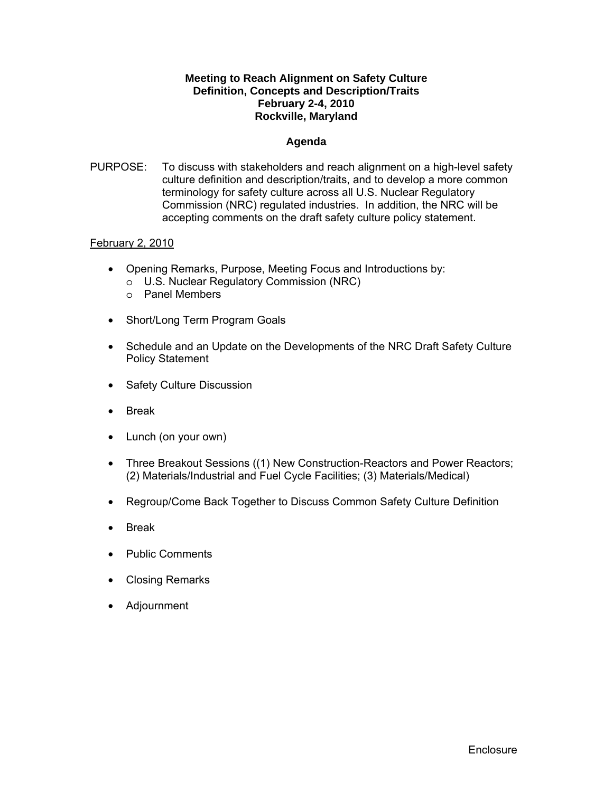### **Meeting to Reach Alignment on Safety Culture Definition, Concepts and Description/Traits February 2-4, 2010 Rockville, Maryland**

### **Agenda**

PURPOSE: To discuss with stakeholders and reach alignment on a high-level safety culture definition and description/traits, and to develop a more common terminology for safety culture across all U.S. Nuclear Regulatory Commission (NRC) regulated industries. In addition, the NRC will be accepting comments on the draft safety culture policy statement.

### February 2, 2010

- Opening Remarks, Purpose, Meeting Focus and Introductions by:
	- o U.S. Nuclear Regulatory Commission (NRC)
	- o Panel Members
- Short/Long Term Program Goals
- Schedule and an Update on the Developments of the NRC Draft Safety Culture Policy Statement
- Safety Culture Discussion
- Break
- Lunch (on your own)
- Three Breakout Sessions ((1) New Construction-Reactors and Power Reactors; (2) Materials/Industrial and Fuel Cycle Facilities; (3) Materials/Medical)
- Regroup/Come Back Together to Discuss Common Safety Culture Definition
- Break
- Public Comments
- Closing Remarks
- Adjournment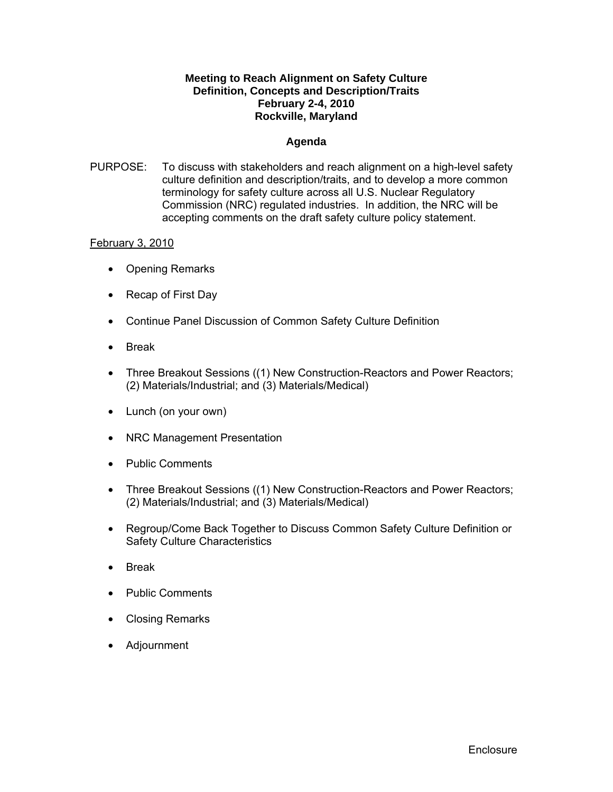### **Meeting to Reach Alignment on Safety Culture Definition, Concepts and Description/Traits February 2-4, 2010 Rockville, Maryland**

#### **Agenda**

PURPOSE: To discuss with stakeholders and reach alignment on a high-level safety culture definition and description/traits, and to develop a more common terminology for safety culture across all U.S. Nuclear Regulatory Commission (NRC) regulated industries. In addition, the NRC will be accepting comments on the draft safety culture policy statement.

### February 3, 2010

- Opening Remarks
- Recap of First Day
- Continue Panel Discussion of Common Safety Culture Definition
- Break
- Three Breakout Sessions ((1) New Construction-Reactors and Power Reactors; (2) Materials/Industrial; and (3) Materials/Medical)
- Lunch (on your own)
- NRC Management Presentation
- Public Comments
- Three Breakout Sessions ((1) New Construction-Reactors and Power Reactors; (2) Materials/Industrial; and (3) Materials/Medical)
- Regroup/Come Back Together to Discuss Common Safety Culture Definition or Safety Culture Characteristics
- Break
- Public Comments
- Closing Remarks
- Adjournment